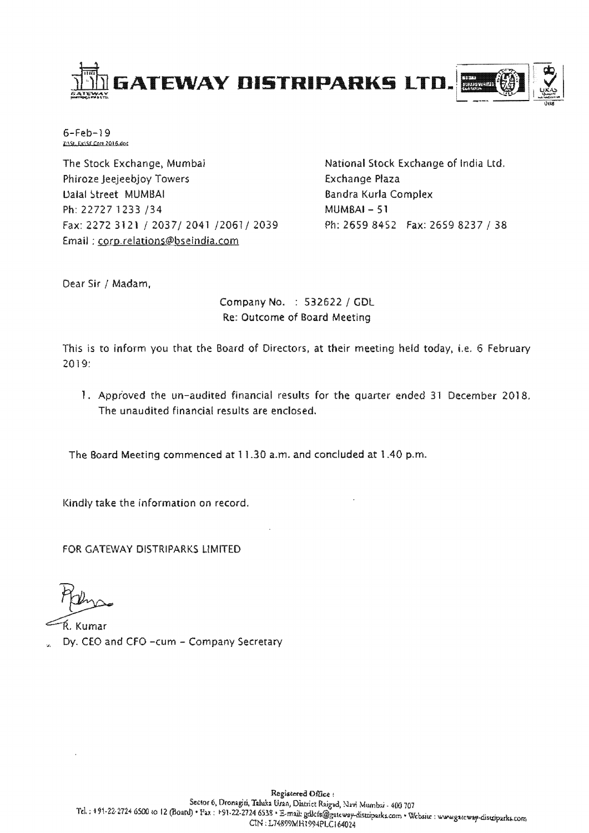

6-Feb-19

The Stock Exchange, Mumbai Phiroze Jeejeebjoy Towers Ualal Street MUMBAI Ph: 22727 1233 /34 MUMBAI- 51 Fax: 2272 3121 / 2037/ 2041 /2061/ 2039 Ph: 2659 8452 Fax: 2659 8237 / 38 Email; corp.relations@bseindia.com

National Stock Exchange of India Ltd. Exchange Plaza Sandra Kurla Complex

Dear Sir / Madam,

Company No. : 532622 / GDl Re: Outcome of Board Meeting

This is to inform you that the Board of Directors, at their ng held today, i.e. 6 February 2019:

1. Approved the un-audited financial results for the quarter ended 31 December 2018. The unaudited financial results are enclosed.

The Board Meeting commenced at 11.30 a.m. and concluded at 1.40 p.m.

Kindly take information on record.

FOR GATEWAY DISTRIPARKS LIMITED

Ŕ. Kumar Dy. CEO and CFO -cum - Company Secretary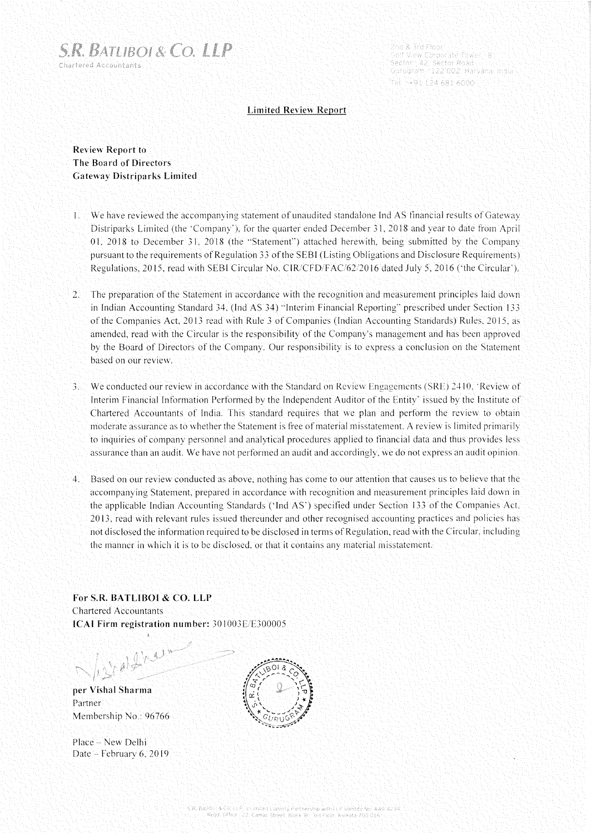

2nd & 3rd Floor - Colf View Corporate Tower 18<br>"Sector": 42: Sector Road Guruğram >122'002: Harvana, India Tel - 495 124 681 6000 -

# **Limited Review Report**

**Review Report to The Board of Directors Gateway Distriparks Limited** 

- 1. We have reviewed the accompanying statement of unaudited standalone Ind AS financial results of Gateway Distriparks Limited (the 'Company'). for the quarter ended December 3 L 2018 and year to date from April 01. 2018 to December 3 L 2018 (the "Statement") attached herewith. being submitted by the Company pursuant to the requirements of Regulation 33 of the SEBI (Listing Obligations and Disclosure Requirements) Regulations. 2015. read with SEBI Circular No. CIR/CFD/FAC/62/2016 dated July 5, 2016 ('the Circular').
- 2. The preparation of the Statement in accordance with the recognition and measurement principles laid down in Indian Accounting Standard 34. (Ind AS 34) "Interim Financial Reporting" prescribed under Section 133 of the Companies Act 2013 read with Rule 3 of Companies (Indian Accounting Standards) Rules, 2015. as amended. read with the Circular is the responsibility of the Company's management and has been approved by the Board of Directors of the Company. Our responsibility is to express a conclusion on the Statement based on our review.
- 3. We conducted our review in accordance with the Standard on Review Engagements (SRE) 2410. Review of Interim Financial Information Performed by the Independent Auditor of the Entity' issued by the Institute of Chartered Accountants or India. This standard requires that we plan and perform the review to obtain moderate assurance as to whether the Statement is free of material misstatement. A review is limited primarily to inquiries of company personnel and analytical procedures applied to tinancial data and thus provides less assurance than an audit We have not performed an audit and accordingly, we do not express an audit opinion.
- 4. Based on our review conducted as above, nothing has come to our attention that causes us to believe that the accompanying Statement, prepared in accordance with recognition and measurement principles laid down in the applicable Indian Accounting Standards ('Ind AS') specified under Section 133 of the Companies Act, 2013, read with relevant rules issued thereunder and other recognised accounting practices and policies has not disclosed the information required to be disclosed in terms of Regulation, read with the Circular. inc lucling the manner in which it is to be disclosed, or that it contains any material misstatement

**For S.R. BATLIBOI & CO. LLP**  Chartered Accountants **ICAI Firm registration number: 301003E/E300005** 

Well

**per Vishal Sharma**  Partner Membership No.: 96766

Place - New Delhi Date – February 6, 2019

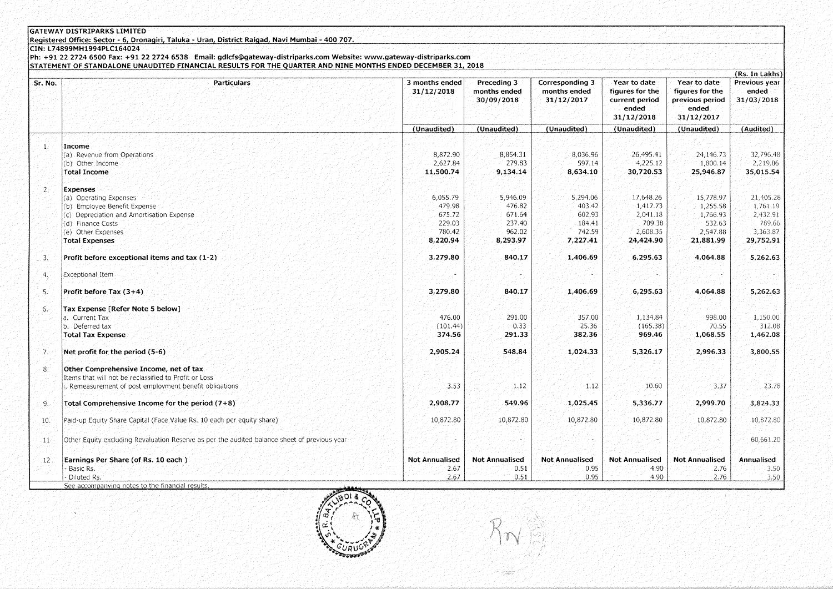## **GATEWAY DISTRIPARKS LIMITED**

Registered Office: Sector - 6, Dronagiri, Taluka - Uran, District Raigad, Navi Mumbai - 400 707.

CIN: L74899MH1994PLC164024

Ph: +91 22 2724 6500 Fax: +91 22 2724 6538 Email: gdlcfs@gateway-distriparks.com Website: www.gateway-distriparks.com<br>STATEMENT OF STANDALONE UNAUDITED FINANCIAL RESULTS FOR THE QUARTER AND NINE MONTHS ENDED DECEMBER 31, 2

|                  |                                                                                               |                              |                                           |                                               |                                                                          |                                                                           | (Rs. In Lakhs)                       |
|------------------|-----------------------------------------------------------------------------------------------|------------------------------|-------------------------------------------|-----------------------------------------------|--------------------------------------------------------------------------|---------------------------------------------------------------------------|--------------------------------------|
| Sr. No.          | <b>Particulars</b>                                                                            | 3 months ended<br>31/12/2018 | Preceding 3<br>months ended<br>30/09/2018 | Corresponding 3<br>months ended<br>31/12/2017 | Year to date<br>figures for the<br>current period<br>ended<br>31/12/2018 | Year to date<br>figures for the<br>previous period<br>ended<br>31/12/2017 | Previous year<br>ended<br>31/03/2018 |
|                  |                                                                                               | (Unaudited)                  | (Unaudited)                               | (Unaudited)                                   | (Unaudited)                                                              | (Unaudited)                                                               | (Audited)                            |
|                  |                                                                                               |                              |                                           |                                               |                                                                          |                                                                           |                                      |
| $\mathbf{1}$ .   | Income.                                                                                       |                              |                                           |                                               |                                                                          |                                                                           |                                      |
|                  | (a) Revenue from Operations                                                                   | 8,872.90                     | 8,854.31                                  | 8,036.96                                      | 26,495.41                                                                | 24,146.73                                                                 | 32,796.48                            |
|                  | (b) Other Income                                                                              | 2,627.84                     | 279.83                                    | 597.14                                        | 4,225.12                                                                 | 1,800.14                                                                  | 2,219.06                             |
|                  | <b>Total Income</b>                                                                           | 11,500.74                    | 9,134.14                                  | 8,634.10                                      | 30,720.53                                                                | 25,946.87                                                                 | 35,015.54                            |
| $2\varepsilon$   | Expenses                                                                                      |                              |                                           |                                               |                                                                          |                                                                           |                                      |
|                  | (a) Operating Expenses                                                                        | 6,055.79                     | 5,946.09                                  | 5,294.06                                      | 17,648.26                                                                | 15,778.97                                                                 | 21,405.28                            |
|                  | (b) Employee Benefit Expense                                                                  | 479.98                       | 476.82                                    | 403.42                                        | 1,417.73                                                                 | 1,255.58                                                                  | 1,761.19                             |
|                  | (c) Depreciation and Amortisation Expense                                                     | 675.72                       | 671.64                                    | 602.93                                        | 2.041.18                                                                 | 1.766.93                                                                  | 2,432.91                             |
|                  | (d) Finance Costs                                                                             | 229.03                       | 237.40                                    | 184.41                                        | 709.38                                                                   | 532.63                                                                    | 789.66                               |
|                  | (e) Other Expenses                                                                            | 780.42                       | 962.02                                    | 742.59                                        | 2,608.35                                                                 | 2,547.88                                                                  | 3,363.87                             |
|                  | <b>Total Expenses</b>                                                                         | 8,220.94                     | 8,293.97                                  | 7,227.41                                      | 24,424.90                                                                | 21,881.99                                                                 | 29,752.91                            |
| $\overline{3}$ . | Profit before exceptional items and tax (1-2)                                                 | 3,279.80                     | 840.17                                    | 1,406.69                                      | 6,295.63                                                                 | 4,064.88                                                                  | 5,262.63                             |
| 4.               | Exceptional Item                                                                              |                              |                                           |                                               |                                                                          |                                                                           |                                      |
| $5^\circ$        | Profit before Tax (3+4)                                                                       | 3,279.80                     | 840.17                                    | 1,406.69                                      | 6,295.63                                                                 | 4,064.88                                                                  | 5,262.63                             |
| 6.               | Tax Expense [Refer Note 5 below]                                                              |                              |                                           |                                               |                                                                          |                                                                           |                                      |
|                  | a. Current Tax                                                                                | 476.00                       | 291.00                                    | 357.00                                        | 1,134.84                                                                 | 998.00                                                                    | 1,150.00                             |
|                  | b. Deferred tax                                                                               | (101.44)                     | 0.33                                      | 25.36                                         | (165.38)                                                                 | 70.55                                                                     | 312.08                               |
|                  | <b>Total Tax Expense</b>                                                                      | 374.56                       | 291.33                                    | 382.36                                        | 969.46                                                                   | 1,068.55                                                                  | 1,462.08                             |
| 7.               | Net profit for the period (5-6)                                                               | 2,905.24                     | 548.84                                    | 1,024.33                                      | 5,326.17                                                                 | 2,996.33                                                                  | 3,800.55                             |
| 8.5              | Other Comprehensive Income, net of tax                                                        |                              |                                           |                                               |                                                                          |                                                                           |                                      |
|                  | Items that will not be reclassified to Profit or Loss                                         |                              |                                           |                                               |                                                                          |                                                                           |                                      |
|                  | . Remeasurement of post employment benefit obligations                                        | 3.53                         | 1.12                                      | $-1.12$                                       | 10.60                                                                    | 3.37                                                                      | $-23.78$                             |
| 9.               | Total Comprehensive Income for the period $(7+8)$                                             | 2,908.77                     | 549.96                                    | 1,025.45                                      | 5,336.77                                                                 | 2,999.70                                                                  | 3,824.33                             |
| 10.              | Paid-up Equity Share Capital (Face Value Rs. 10 each per equity share)                        | 10,872.80                    | 10,872.80                                 | 10,872.80                                     | 10,872.80                                                                | 10,872.80                                                                 | 10,872.80                            |
| .11              | Other Equity excluding Revaluation Reserve as per the audited balance sheet of previous year. |                              |                                           |                                               |                                                                          |                                                                           | 60,661.20                            |
| $12^{\circ}$     | Earnings Per Share (of Rs. 10 each)                                                           | <b>Not Annualised</b>        | <b>Not Annualised</b>                     | <b>Not Annualised</b>                         | <b>Not Annualised</b>                                                    | <b>Not Annualised</b>                                                     | Annualised                           |
|                  | Basic Rs.                                                                                     | 2.67                         | 0.51                                      | 0.95                                          | 4.90                                                                     | 2.76                                                                      | 3.50                                 |
|                  | Diluted Rs.                                                                                   | 2.67                         | 0.51                                      | 0.95                                          | 4.90                                                                     | 2.76                                                                      | 3.50                                 |
|                  | See accompanying notes to the financial results.                                              |                              |                                           |                                               |                                                                          |                                                                           |                                      |

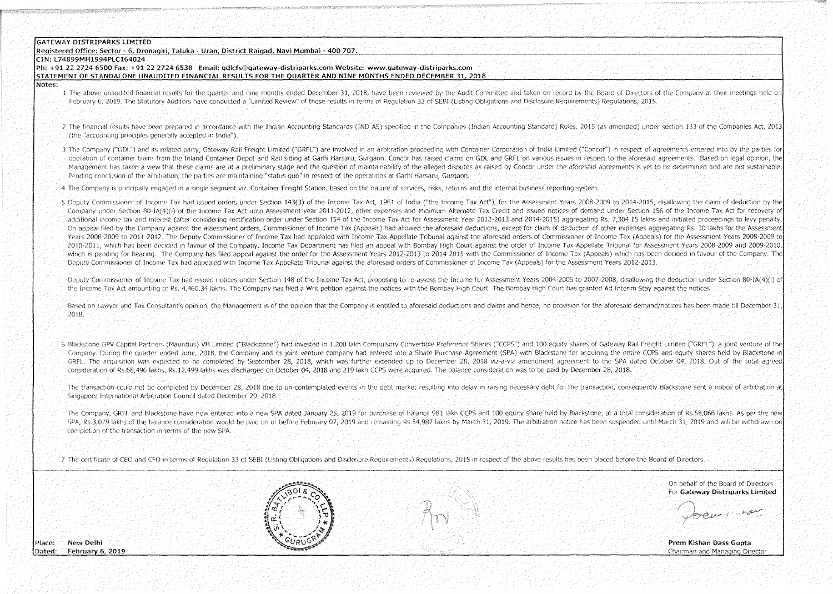#### **GATEWAY DISTRIPARKS LIMITED**

#### Registered Office: Sector - 6, Dronagiri, Taluka - Uran, District Raigad, Navi Mumbai - 400 707.

#### CIN: L74899MH1994PLC164024

Ph: +91 22 2724 6500 Fax: +91 22 2724 6538 Email: odlcfs@oateway-distriparks.com Website: www.gateway-distriparks.com

STATEMENT OF STANDALONE UNAUDITED FINANCIAL RESULTS FOR THE OUARTER AND NINE MONTHS ENDED DECEMBER 31, 2018

Notes:

- I The above unaudited financial results for the quarter and nine months ended December 31, 2018, have been reviewed by the Audit Committee and taken on record by the Board of Directors of the Company at their meetings held February 6:2019. The Statutory Auditors have conducted a "Limited Review" of these results in terms of Regulation 33 of SEBI (Listing Obligations and Disclosure Requirements) Regulations: 2015.
- 2. The financial results have been prepared in accordance with the Indian Accounting Standards (IND AS) specified in the Companies (Indian Accounting Standard) Rules, 2015 (as amended) under section 133 of the Companies Ac (the "accounting principles generally accepted in India").
- 3 The Company ("GDL") and its related party. Gateway Rail Freight Limited ("GRFL") are involved in an arbitration proceeding with Container Corporation of India Limited ("Concor") in respect of agreements entered into by t operation of container trains from the Inland Container Depot and Rail siding at Garhi Harsaru, Gurgaon, Concor has raised claims on GDL and GRFL on various issues in respect to the aforesaid agreements. Based on legal opi Management has taken a view that these claims are at a preliminary stage and the question of maintainability of the alleged disputes as raised by Concor under the aforesaid agreements is yet to be determined and are not su Pending conclusion of the arbitration, the parties are maintaining "status quo" in respect of the operations at Garhi Harsaru, Gurgaon.
- 4 The Company is principally engaged in a single segment viz. Container Freight Station, based on the nature of services, risks, returns and the internal business reporting system.
- 5 Deputy Commissioner of Income Tax had issued orders under Section 143(3) of the Income Tax Act, 1961 of India ("the Income Tax Act"), for the Assessment Years 2008-2009 to 2014-2015, disallowing the claim of deduction by Company under Section 80 1A(4)(i) of the Income Tax Act unto Assessment year 2011-2012. other expenses and Minimum Alternate Tax Credit and issued notices of demand under Section 156 of the Income Tax Act for recovery of additional income tax and interest (after considering rectification order under Section 154 of the Income Tax Act for Assessment Year 2012-2013 and 2014-2015) aggregating Rs. 7.304.15 lakhs and initiated proceedings to lev On appeal filed by the Company against the assessment orders. Commissioner of Income Tax (Appeals) had allowed the aforesaid deductions, except for claim of deduction of other experises aggregating Rs. 30 lakhs for the Ass Years 2008-2009 to 2011-2012. The Deputy Commissioner of Income Tax had appealed with Income Tax Appellate Tribunal against the aforesaid orders of Commissioner of Income Tax (Appeals) for the Assessment Years 2008-2009 to 2010-2011, which has been decided in Tayour of the Company. Income Tax Department has filed an appeal with Bombay High Court against the order of Income Tax Appellate Tribunal for Assessment Years 2008-2009 and 2009-2010 which is pending for hearing. The Company has filed appeal against the order for the Assessment Years 2012-2013 to 2014-2015 with the Commissioner of Income Tax (Appeals) which has been decided in favour of the Company. Th Deputy Commissioner of Income Tax had appealed with Income Tax Appellate Tribunal against the aforesaid orders of Commissioner of Income Tax (Appeals) for the Assessment Years 2012-2013.

Deputy Commissioner of Income Tax had issued notices under Section 148 of the Income Tax Act, proposing to re-assess the Income for Assessment Years 2004-2005 to 2007-2008, disallowing the deduction under Section 80-1A(4)( the Income Tax Act amounting to Rs. 4,460.34 lakhs. The Company has filed a Writ petition against the notices with the Bombay High Court. The Bombay High Court has granted Ad Interim Stay against the notices.

Based on Lawver and Tax Consultant's opinion, the Management is of the opinion that the Company is entitled to aforesaid deductions and claims and bence, no provision for the aforesaid demand/notices has been made till Dec  $2018.$ 

6 Blackstone GPV Capital Partners (Mauritius) VH Limited ("Blackstone") had invested in 1,200 lakh Compulsory Convertible Preference Shares ("CCPS") and 100 equity shares of Gateway Rail Freight Limited ("GRFL"), a joint v Company. During the quarter ended June, 2018, the Company and its joint venture company had entered into a Share Purchase Agreement (SPA) with Blackstone for acquiring the entire CCPS and equity shares held by Blackstone i GRFL. The acquisition was expected to be completed by September 28, 2018, which was further extended up to December 28, 2018 viz-a-viz amendment agreement to the SPA dated October 04, 2018. Out of the total agreed Consideration of Rs.68.496 lakhs. Rs.12.499 lakhs was discharged on October 04, 2018 and 219 lakh CCPS were acquired. The balance consideration was to be paid by December 28, 2018.

The transaction could not be completed by December 28, 2018 due to un-contemplated events in the debt market resulting into delay in raising necessary debt for the transaction, consequently Blackstone sent a notice of arbi Singapore International Arbitration Council dated December 29, 2018.

The Company, GRFL and Blackstone have now entered into a new SPA dated January 25, 2019 for purchase of balance 981 lakh CCPS and 100 equity share held by Blackstone, at a total consideration of Rs.58,066 lakhs. As per the SPA, Rs.3,079 lakhs of the balance consideration would be paid on or before February 07, 2019 and remaining Rs.54,987 lakhs by March 31, 2019. The arbitration notice has been suspended until March 31, 2019 and will be with completion of the transaction in terms of the new SPA.

2. The certificate of CEO and CFO in terms of Requiation 33 of SEBI (Listing Obligations and Disclosure Requirements) Requiations. 2015 in respect of the above results has been placed before the Board of Directors.

On behalf of the Board of Directors For Gateway Distribarks Limited

OIL ROLL

Prem Kishan Dass Gupta Chairman and Managing Director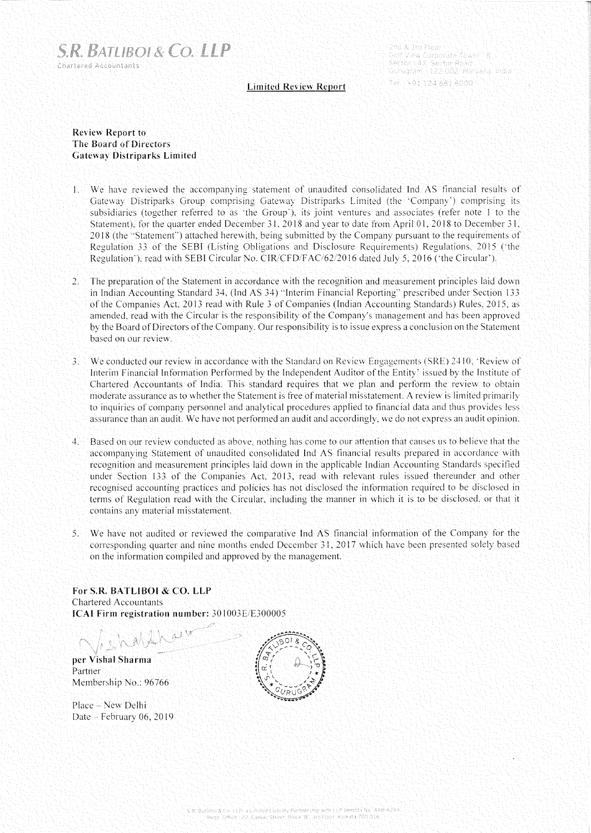

2nd & 3rd Floor Golf View Corporate Tower 18 Sector New Corporate Yower 19.<br>Sector N42, Sector Road 19. 19. 19.<br>Gurugram 14.22.002: Harvana, India 

## **Limited Review Report**

# **Review Report to The Board of Directors Gateway Distriparks Limited**

- l. We have reviewed the accompanymg statement of unaudited consolidated Inel AS financial results of Gateway Distriparks Group comprising Gateway Distriparks Limited (the 'Company') comprising its subsidiaries (together referred to as 'the Group'), its joint ventures and associates (refer note 1 to the Statement), for the quarter ended December 31, 2018 and year to date from April 01, 2018 to December 31, 2018 (the "Statement"") attached herewith, being submitted by the Company pursuant to the requirements of Regulation 33 of the SESI (Listing Obligations and Disclosure Requirements) Regulations, 2015 ("the Regulation '), read with SEBI Circular No. CIR/CFD/FAC/62/2016 dated July 5, 2016 ('the Circular').
- The preparation of the Statement in accordance with the recognition and measurement principles laid down in Indian Accounting Standard 34, (lnd AS 34) "Interim Financial Reporting" prescribed under Section 133 of the Companies Act. 2013 read with Rule 3 of Companies (Indian Accounting Standards) Rules, 2015. as amended. read with the Circular is the responsibility of the Company's management and has been approved by the Board of Directors of the Company, Our responsibility is to issue express a conclusion on the Statement based on our review,
- 3. We conducted our review in accordance with the Standard on Review Engagements (SRE) 2410, 'Review of Interim Financial Information Performed by the Independent Auditor of the Entity' issued by the Institute of Chartered Accountants of India, This standard requires that we plan and perform the review to obtain moderate assurance as to whether the Statement is free of material misstatement. A review is limited primarily to inquiries of company personnel and analytical procedures applied to financial data and thus provides less assurance than an audit. We have not performed an audit and accordingly, we do not express an audit opinion.
- 4, Based on our review conducted as above. nothing has come to our attention that causes us to believe that the accompanying Statement of unaudited consolidated Ind AS financial results prepared in accordance with recognition and measurement principles laid down in the applicable Indian Accounting Standards specified under Section 133 of the Companies Act. 2013. read with relevant rules issued thereunder and other recognised accounting practices and policies has not disclosed the information required to be disclosed in terms of Regulation read with the Circular, including the manner in which it is to be disclosed. or that it contains any material misstatement.
- 5, We have not audited or reviewed the comparative Inc! AS financial information of the Company for the corresponding quarter and nine months ended December 31, 2017 which have been presented solely based on the information compiled and approved by the management.

**For S.R. BATLIBOI & CO. LLP**  Chartered Accountants **ICAI Firm registration number: 301003E/E300005** 

**per Vishal Sharma**  Partner Membership No.: 96766

Place - New Delhi Date - February 06, 2019

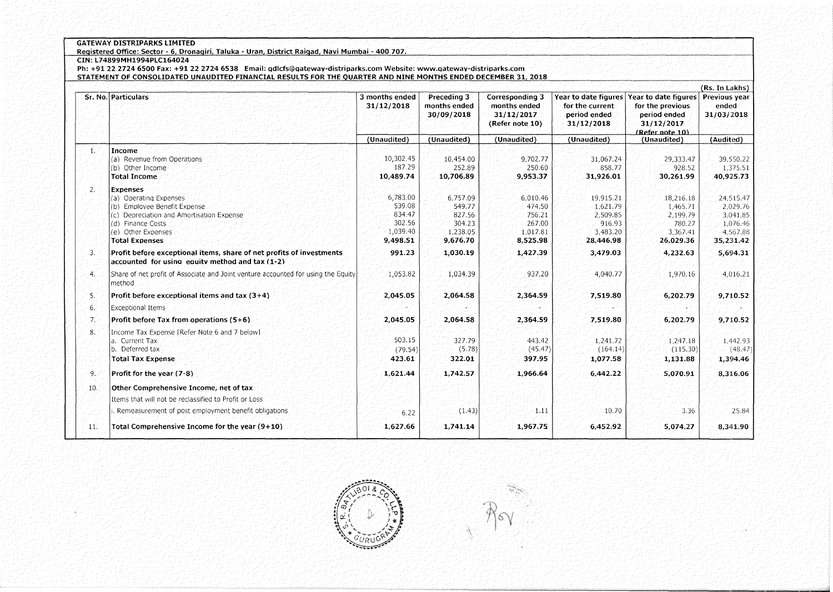## **GATEWAY DISTRIPARKS LIMITED**

**Registered Office: Sector - 6 Dronaoiri Taluka - Uran District Raioad Navi Mumbai - 400 707.** .~~ **CIN: l74899MH1994PlC164024** 

**Ph: +91 2227246500 fax: +91 22 2724 6538 Email: qdlcfs@qatewav-distriparks.com Website: www.qatewav-distriparks.com STATEMENT Of CONSOLIDATED UNAUDITED fINANCIAL RESULTS fOR THE OUARTER AND NINE MONTHS ENDED DECEMBER 31 2018** 

|                 | Sr. No. Particulars                                                                                                     | 3 months ended<br>31/12/2018 | Preceding 3<br>months ended<br>30/09/2018 | Corresponding 3<br>months ended<br>31/12/2017<br>(Refer note 10) | Year to date figures<br>for the current<br>period ended<br>31/12/2018 | Year to date figures<br>for the previous<br>period ended<br>31/12/2017<br>(Refer note 10) | (Rs. In Lakhs)<br>Previous year<br>ended<br>31/03/2018 |
|-----------------|-------------------------------------------------------------------------------------------------------------------------|------------------------------|-------------------------------------------|------------------------------------------------------------------|-----------------------------------------------------------------------|-------------------------------------------------------------------------------------------|--------------------------------------------------------|
|                 |                                                                                                                         | (Unaudited)                  | (Unaudited)                               | (Unaudited)                                                      | (Unaudited)                                                           | (Unaudited)                                                                               | (Audited)                                              |
| 1.              | Income                                                                                                                  |                              |                                           |                                                                  |                                                                       |                                                                                           |                                                        |
|                 | (a) Revenue from Operations                                                                                             | 10,302.45                    | 10,454.00                                 | 9,702.77                                                         | 31,067.24                                                             | 29,333.47                                                                                 | 39,550.22                                              |
|                 | (b) Other Income<br><b>Total Income</b>                                                                                 | 187.29<br>10,489.74          | 252.89                                    | 250.60<br>9,953.37                                               | 858.77                                                                | 928.52                                                                                    | 1,375.51                                               |
|                 |                                                                                                                         |                              | 10,706.89                                 |                                                                  | 31,926.01                                                             | 30,261.99                                                                                 | 40,925.73                                              |
| 2.              | <b>Expenses</b>                                                                                                         |                              |                                           |                                                                  |                                                                       |                                                                                           |                                                        |
|                 | (a) Operating Expenses<br>(b) Employee Benefit Expense                                                                  | 6,783.00<br>539.08           | 6,757.09<br>549.77                        | 6.010.46<br>474.50                                               | 19.915.21<br>1,621.79                                                 | 18,216.18<br>1.465.71                                                                     | 24,515.47<br>2,029.76                                  |
|                 | (c) Depreciation and Amortisation Expense                                                                               | 834.47                       | 827.56                                    | 756.21                                                           | 2,509.85                                                              | 2,199.79                                                                                  | 3,041.85                                               |
|                 | (d) Finance Costs                                                                                                       | 302.56                       | 304.23                                    | 267.00                                                           | 916.93                                                                | 780.27                                                                                    | 1,076.46                                               |
|                 | (e) Other Expenses                                                                                                      | 1,039.40                     | 1,238.05                                  | 1.017.81                                                         | 3,483.20                                                              | 3.367.41                                                                                  | 4.567.88                                               |
|                 | <b>Total Expenses</b>                                                                                                   | 9,498.51                     | 9,676.70                                  | 8,525.98                                                         | 28,446.98                                                             | 26,029.36                                                                                 | 35,231.42                                              |
| 3.              | Profit before exceptional items, share of net profits of investments<br>accounted for using equity method and tax (1-2) | 991.23                       | 1,030.19                                  | 1,427.39                                                         | 3,479.03                                                              | 4,232.63                                                                                  | 5,694.31                                               |
| $\mathcal{A}$ . | Share of net profit of Associate and Joint venture accounted for using the Equity<br>method                             | 1,053.82                     | 1,034.39                                  | 937.20                                                           | 4,040.77                                                              | 1,970.16                                                                                  | 4,016.21                                               |
| 5.              | Profit before exceptional items and tax $(3+4)$                                                                         | 2,045.05                     | 2,064.58                                  | 2,364.59                                                         | 7,519.80                                                              | 6,202.79                                                                                  | 9,710.52                                               |
| 6.              | Exceptional Items                                                                                                       |                              |                                           |                                                                  |                                                                       |                                                                                           |                                                        |
| -7.             | Profit before Tax from operations $(5+6)$                                                                               | 2,045.05                     | 2,064.58                                  | 2,364.59                                                         | 7.519.80                                                              | 6,202.79                                                                                  | 9,710.52                                               |
| 8.              | Income Tax Expense [Refer Note 6 and 7 below]                                                                           |                              |                                           |                                                                  |                                                                       |                                                                                           |                                                        |
|                 | a. Current Tax                                                                                                          | 503.15                       | 327.79                                    | 443.42                                                           | 1,241.72                                                              | 1,247.18                                                                                  | 1.442.93                                               |
|                 | b. Deferred tax                                                                                                         | (79.54)                      | (5.78)                                    | (45.47)                                                          | (164.14)                                                              | (115.30)                                                                                  | (48.47)                                                |
|                 | <b>Total Tax Expense</b>                                                                                                | 423.61                       | 322.01                                    | 397.95                                                           | 1,077.58                                                              | 1,131.88                                                                                  | 1,394.46                                               |
| -9.             | Profit for the year (7-8)                                                                                               | 1,621.44                     | 1,742.57                                  | 1,966.64                                                         | 6,442.22                                                              | 5,070.91                                                                                  | 8,316.06                                               |
| 10.             | Other Comprehensive Income, net of tax                                                                                  |                              |                                           |                                                                  |                                                                       |                                                                                           |                                                        |
|                 | Items that will not be reclassified to Profit or Loss                                                                   |                              |                                           |                                                                  |                                                                       |                                                                                           |                                                        |
|                 | Remeasurement of post employment benefit obligations                                                                    | 6.22                         | (1.43)                                    | 1.11                                                             | 10.70                                                                 | 3.36                                                                                      | 25.84                                                  |
| 11.7            | Total Comprehensive Income for the year $(9+10)$                                                                        | 1,627.66                     | 1,741.14                                  | 1,967.75                                                         | 6,452.92                                                              | 5,074.27                                                                                  | 8,341.90                                               |



 $\mathcal{R}$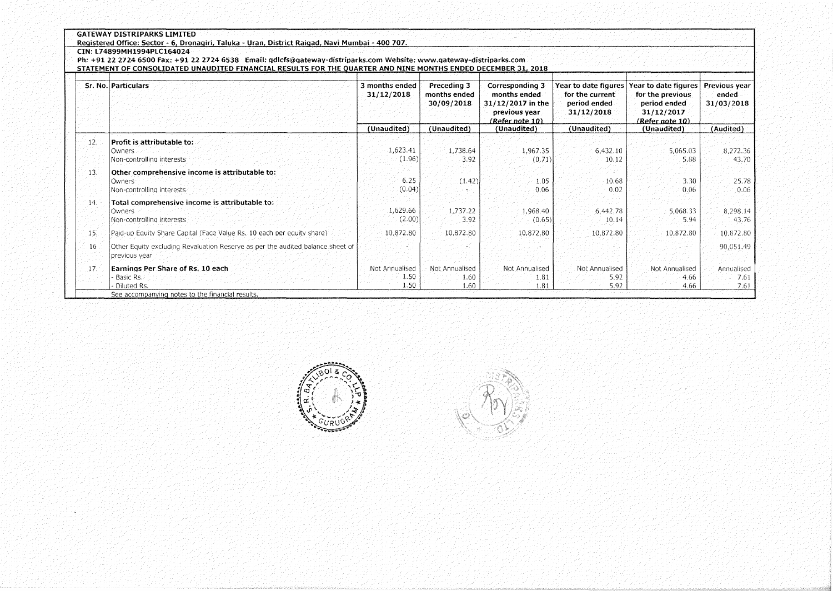|  | <b>GATEWAY DISTRIPARKS LIMITED</b> |  |
|--|------------------------------------|--|
|  |                                    |  |

**Registered Office: Sector - 6, Dronagiri, Taluka - Uran, District Raigad, Navi Mumbai - 400 707.** ,-,~-

## **CIN: L74899MH1994PLC164024**

**Ph: +912227246500 fax: +91 22 2724 6538 Email: gdlcfs@gateway-distriparks.com Website: www.gateway-distriparks.com** 

**STATEMENT Of CONSOLIDATED UNAUDITED fINANCIAL RESULTS fOR THE OUARTER AND NINE MONTHS ENDED DECEMBER 31 2018** 

|      | Sr. No. Particulars                                                                                               | 3 months ended<br>31/12/2018<br>(Unaudited) | Preceding 3<br>months ended<br>30/09/2018<br>(Unaudited) | Corresponding 3<br>months ended<br>$31/12/2017$ in the<br>previous year.<br>(Refer note 10)<br>(Unaudited) | Year to date figures<br>for the current<br>period ended<br>31/12/2018<br>(Unaudited) | Year to date figures<br>for the previous.<br>period ended<br>31/12/2017<br>(Refer note 10)<br>(Unaudited) | Previous year<br>ended<br>31/03/2018<br>(Audited) |
|------|-------------------------------------------------------------------------------------------------------------------|---------------------------------------------|----------------------------------------------------------|------------------------------------------------------------------------------------------------------------|--------------------------------------------------------------------------------------|-----------------------------------------------------------------------------------------------------------|---------------------------------------------------|
| 12.7 | Profit is attributable to:<br>Owners<br>Non-controlling interests                                                 | 1,623.41<br>(1.96)                          | 1,738.64<br>3.92                                         | 1,967.35<br>(0.71)                                                                                         | 6,432.10<br>10.12                                                                    | 5,065.03<br>5.88                                                                                          | 8,272.36<br>43.70                                 |
| 13.  | Other comprehensive income is attributable to:<br>Owners<br>Non-controlling interests                             | 6.25<br>(0.04)                              | (1, 42)                                                  | 1.05<br>0.06                                                                                               | 10.68<br>0.02                                                                        | 3.30<br>0.06                                                                                              | 25.78<br>0.06                                     |
| 14.  | Total comprehensive income is attributable to:<br>Owners<br>Non-controlling interests                             | 1,629.66<br>(2.00)                          | 1,737.22<br>3.92                                         | 1,968.40<br>(0.65)                                                                                         | 6,442.78<br>10.14                                                                    | 5,068.33<br>5.94                                                                                          | 8,298.14<br>43.76                                 |
| 15.  | Paid-up Equity Share Capital (Face Value Rs. 10 each per equity share).                                           | 10,872.80                                   | 10,872.80                                                | 10,872.80                                                                                                  | 10,872.80                                                                            | 10,872.80                                                                                                 | 10,872.80                                         |
| 16   | Other Equity excluding Revaluation Reserve as per the audited balance sheet of<br>previous year                   |                                             |                                                          |                                                                                                            |                                                                                      |                                                                                                           | 90,051.49                                         |
| 17.  | Earnings Per Share of Rs. 10 each<br>Basic Rs.<br>Diluted Rs.<br>See accompanying notes to the financial results. | Not Annualised<br>1.50<br>1.50              | Not Annualised<br>1.60<br>1.60                           | Not Annualised<br>1.81<br>1.81                                                                             | Not Annualised<br>5.92<br>5.92                                                       | Not Annualised<br>4.66<br>4.66                                                                            | Annualised<br>7.61<br>7.61                        |



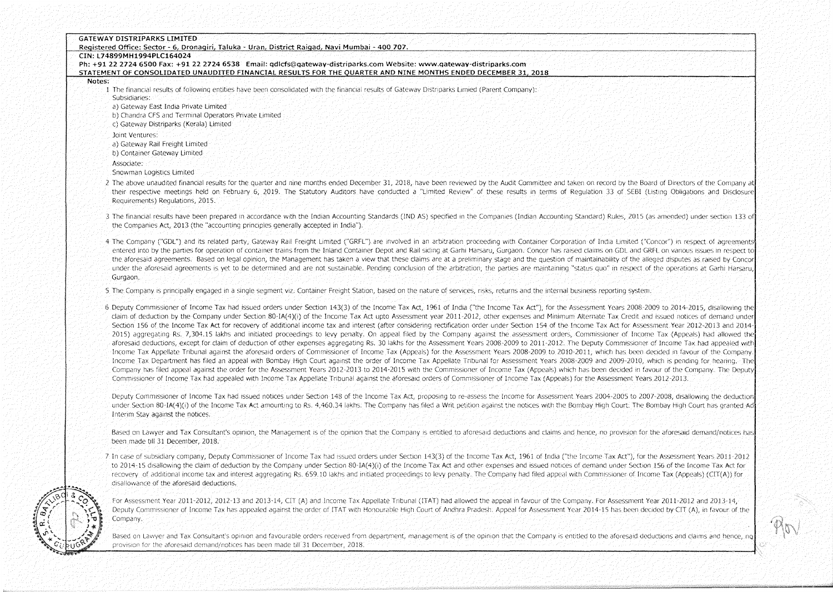|        | Registered Office: Sector - 6, Dronagiri, Taluka - Uran, District Raigad, Navi Mumbai - 400 707.<br>CIN: L74899MH1994PLC164024                                                                                                                                                                                                                                                                                                    |
|--------|-----------------------------------------------------------------------------------------------------------------------------------------------------------------------------------------------------------------------------------------------------------------------------------------------------------------------------------------------------------------------------------------------------------------------------------|
|        | Ph: +91 22 2724 6500 Fax: +91 22 2724 6538 Email: gdlcfs@gateway-distriparks.com Website: www.gateway-distriparks.com                                                                                                                                                                                                                                                                                                             |
|        | STATEMENT OF CONSOLIDATED UNAUDITED FINANCIAL RESULTS FOR THE QUARTER AND NINE MONTHS ENDED DECEMBER 31, 2018                                                                                                                                                                                                                                                                                                                     |
| Notes: |                                                                                                                                                                                                                                                                                                                                                                                                                                   |
|        | 1. The financial results of following entities have been consolidated with the financial results of Gateway Distriparks Limied (Parent Company):                                                                                                                                                                                                                                                                                  |
|        | Subsidiaries:                                                                                                                                                                                                                                                                                                                                                                                                                     |
|        | a) Gateway East India Private Limited                                                                                                                                                                                                                                                                                                                                                                                             |
|        | b) Chandra CFS and Terminal Operators Private Limited                                                                                                                                                                                                                                                                                                                                                                             |
|        | c) Gateway Distriparks (Kerala) Limited                                                                                                                                                                                                                                                                                                                                                                                           |
|        | Joint Ventures:                                                                                                                                                                                                                                                                                                                                                                                                                   |
|        | a) Gateway Rail Freight Limited                                                                                                                                                                                                                                                                                                                                                                                                   |
|        | b) Container Gateway Limited                                                                                                                                                                                                                                                                                                                                                                                                      |
|        | Associate:                                                                                                                                                                                                                                                                                                                                                                                                                        |
|        | Snowman Logistics Limited                                                                                                                                                                                                                                                                                                                                                                                                         |
|        | 2 The above unaudited financial results for the quarter and nine months ended December 31, 2018, have been reviewed by the Audit Committee and taken on record by the Board of Directors of the Company at                                                                                                                                                                                                                        |
|        | their respective meetings held on February 6, 2019. The Statutory Auditors have conducted a "Limited Review" of these results in terms of Regulation 33 of SEBI (Listing Obligations and Disclosure                                                                                                                                                                                                                               |
|        | Requirements) Regulations, 2015.                                                                                                                                                                                                                                                                                                                                                                                                  |
|        |                                                                                                                                                                                                                                                                                                                                                                                                                                   |
|        | 3 The financial results have been prepared in accordance with the Indian Accounting Standards (IND AS) specified in the Companies (Indian Accounting Standard) Rules, 2015 (as amended) under section 133 of                                                                                                                                                                                                                      |
|        | the Companies Act, 2013 (the "accounting principles generally accepted in India").                                                                                                                                                                                                                                                                                                                                                |
|        |                                                                                                                                                                                                                                                                                                                                                                                                                                   |
|        | 4 The Company ("GDL") and its related party, Gateway Rail Freight Limited ("GRFL") are involved in an arbitration proceeding with Container Corporation of India Limited ("Concor") in respect of agreements<br>entered into by the parties for operation of container trains from the Inland Container Depot and Rail siding at Garhi Harsaru, Gurgaon. Concor has raised claims on GDL and GRFL on various issues in respect to |
|        | the aforesaid agreements. Based on legal opinion, the Management has taken a view that these claims are at a preliminary stage and the question of maintainability of the alleged disputes as raised by Concor                                                                                                                                                                                                                    |
|        | under the aforesaid agreements is yet to be determined and are not sustainable. Pending conclusion of the arbitration, the parties are maintaining "status quo" in respect of the operations at Garhi Harsaru,                                                                                                                                                                                                                    |
|        | Gurgaon.                                                                                                                                                                                                                                                                                                                                                                                                                          |
|        |                                                                                                                                                                                                                                                                                                                                                                                                                                   |
|        | 5. The Company is principally engaged in a single segment viz. Container Freight Station, based on the nature of services, risks, returns and the internal business reporting system.                                                                                                                                                                                                                                             |
|        | 6 Deputy Commissioner of Income Tax had issued orders under Section 143(3) of the Income Tax Act, 1961 of India ("the Income Tax Act"), for the Assessment Years 2008-2009 to 2014-2015, disallowing the                                                                                                                                                                                                                          |
|        | claim of deduction by the Company under Section 80-IA(4)(i) of the Income Tax Act upto Assessment year 2011-2012, other expenses and Minimum Alternate Tax Credit and issued notices of demand under                                                                                                                                                                                                                              |
|        | Section 156 of the Income Tax Act for recovery of additional income tax and interest (after considering rectification order under Section 154 of the Income Tax Act for Assessment Year 2012-2013 and 2014                                                                                                                                                                                                                        |
|        | 2015) aggregating-Rs. 7,304.15 lakhs and initiated proceedings to levy penalty. On appeal filed by the Company against the assessment orders, Commissioner of Income Tax (Appeals) had allowed the                                                                                                                                                                                                                                |
|        | aforesaid deductions, except for claim of deduction of other expenses aggregating Rs. 30 lakhs for the Assessment Years 2008-2009 to 2011-2012. The Deputy Commissioner of Income Tax had appealed with                                                                                                                                                                                                                           |
|        | Income Tax Appellate Tribunal against the aforesaid orders of Commissioner of Income Tax (Appeals) for the Assessment Years 2008-2009 to 2010-2011, which has been decided in favour of the Company.                                                                                                                                                                                                                              |
|        | Income Tax Department has filed an appeal with Bombay High Court against the order of Income Tax Appellate Tribunal for Assessment Years 2008-2009 and 2009-2010, which is pending for hearing. The                                                                                                                                                                                                                               |
|        | Company has filed appeal against the order for the Assessment Years 2012-2013 to 2014-2015 with the Commissioner of Income Tax (Appeals) which has been decided in favour of the Company. The Deputy                                                                                                                                                                                                                              |
|        | Commissioner of Income Tax had appealed with-Income Tax Appellate Tribunal against the aforesaid orders of Commissioner of Income Tax (Appeals) for the Assessment Years 2012-2013.                                                                                                                                                                                                                                               |
|        |                                                                                                                                                                                                                                                                                                                                                                                                                                   |
|        | Deputy Commissioner of Income Tax had issued notices under Section 148 of the Income Tax Act, proposing to re-assess the Income for Assessment Years 2004-2005 to 2007-2008, disallowing the deduction                                                                                                                                                                                                                            |
|        | under Section 80-IA(4)(i) of the Income Tax Act amounting to Rs. 4,460.34 lakhs. The Company has filed a Writ petition against the notices with the Bombay High Court. The Bombay High Court has granted Ad-                                                                                                                                                                                                                      |
|        | Interim Stay against the notices.                                                                                                                                                                                                                                                                                                                                                                                                 |
|        | Based on Lawyer and Tax Consultant's opinion, the Management is of the opinion that the Company is entitled to aforesaid deductions and claims and hence, no provision for the aforesaid demand/notices has                                                                                                                                                                                                                       |
|        | been made till 31 December, 2018.                                                                                                                                                                                                                                                                                                                                                                                                 |
|        |                                                                                                                                                                                                                                                                                                                                                                                                                                   |
|        | 7. In case of subsidiary company, Deputy Commissioner of Income Tax had issued orders under Section 143(3) of the Income Tax Act, 1961 of India ("the Income Tax Act"), for the Assessment Years 2011-2012                                                                                                                                                                                                                        |
|        | to 2014-15 disallowing the claim of deduction by the Company under Section 80-IA(4)(i) of the Income Tax Act and other expenses and issued notices of demand under Section 156 of the Income Tax Act for                                                                                                                                                                                                                          |
|        | recovery of additional income tax and interest aggregating Rs. 659.10 lakhs and initiated proceedings to levy penalty. The Company had filed appeal with Commissioner of Income Tax (Appeals) (CIT(A)) for                                                                                                                                                                                                                        |
|        | disallowance of the aforesaid deductions.                                                                                                                                                                                                                                                                                                                                                                                         |
|        |                                                                                                                                                                                                                                                                                                                                                                                                                                   |
|        | For Assessment Year 2011-2012, 2012-13 and 2013-14, CIT (A) and Income Tax Appellate Tribunal (ITAT) had allowed the appeal in favour of the Company, For Assessment Year 2011-2012 and 2013-14,                                                                                                                                                                                                                                  |
|        | Deputy Commissioner of Income Tax has appealed against the order of ITAT with Honourable High Court of Andhra Pradesh: Appeal for Assessment Year 2014-15 has been decided by CIT (A), in favour of the                                                                                                                                                                                                                           |
|        | Company.                                                                                                                                                                                                                                                                                                                                                                                                                          |
|        | Based on Lawyer and Tax Consultant's opinion and favourable orders received from department, management is of the opinion that the Company is entitled to the aforesaid deductions and claims and hence, no                                                                                                                                                                                                                       |
|        | provision for the aforesaid demand/notices has been made till 31 December, 2018.                                                                                                                                                                                                                                                                                                                                                  |